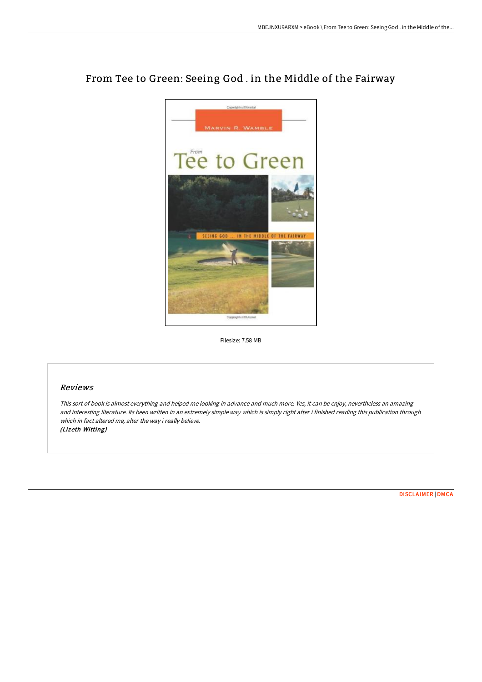

# From Tee to Green: Seeing God . in the Middle of the Fairway

Filesize: 7.58 MB

## Reviews

This sort of book is almost everything and helped me looking in advance and much more. Yes, it can be enjoy, nevertheless an amazing and interesting literature. Its been written in an extremely simple way which is simply right after i finished reading this publication through which in fact altered me, alter the way i really believe. (Lizeth Witting)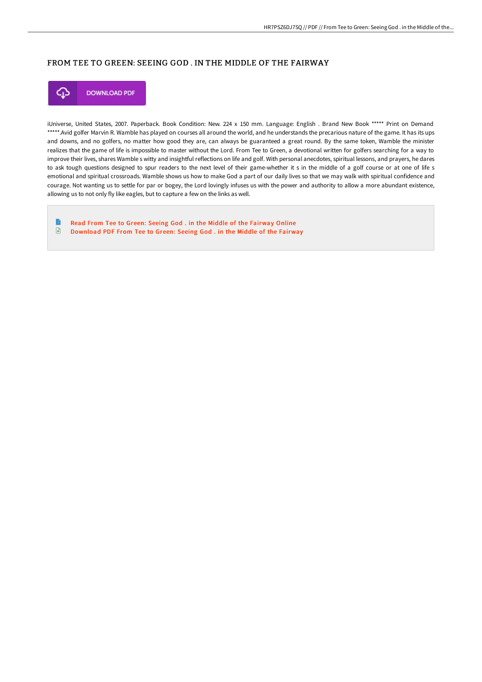## FROM TEE TO GREEN: SEEING GOD . IN THE MIDDLE OF THE FAIRWAY



iUniverse, United States, 2007. Paperback. Book Condition: New. 224 x 150 mm. Language: English . Brand New Book \*\*\*\*\* Print on Demand \*\*\*\*\*.Avid golfer Marvin R. Wamble has played on courses all around the world, and he understands the precarious nature of the game. It has its ups and downs, and no golfers, no matter how good they are, can always be guaranteed a great round. By the same token, Wamble the minister realizes that the game of life is impossible to master without the Lord. From Tee to Green, a devotional written for golfers searching for a way to improve their lives, shares Wamble s witty and insightful reflections on life and golf. With personal anecdotes, spiritual lessons, and prayers, he dares to ask tough questions designed to spur readers to the next level of their game-whether it s in the middle of a golf course or at one of life s emotional and spiritual crossroads. Wamble shows us how to make God a part of our daily lives so that we may walk with spiritual confidence and courage. Not wanting us to settle for par or bogey, the Lord lovingly infuses us with the power and authority to allow a more abundant existence, allowing us to not only fly like eagles, but to capture a few on the links as well.

B Read From Tee to Green: Seeing God . in the Middle of the [Fairway](http://digilib.live/from-tee-to-green-seeing-god-in-the-middle-of-th.html) Online  $\mathbf{F}$ [Download](http://digilib.live/from-tee-to-green-seeing-god-in-the-middle-of-th.html) PDF From Tee to Green: Seeing God . in the Middle of the Fairway